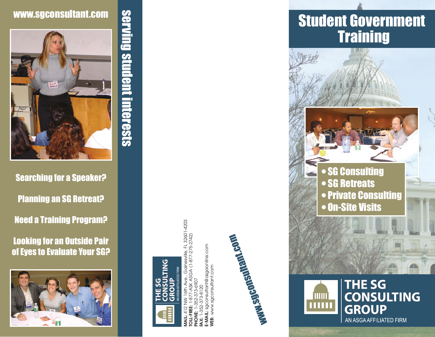

serving student interests

Searching for a Speaker? Planning an SG Retreat? Need a Training Program?

Looking for an Outside Pair of Eyes to Evaluate Your SG?





FL 32601-4203<br>75-2742) **MAIL:** 412 NW 16th Ave., Gainesville, FL 32601-4203 **TOLL-FREE:** 1-877-ASK ASGA (1-877-275-2742) sgconsultant@asgaonline.com **E-MAIL:** sgconsultant@asgaonline.com  $(1 - 877 - 27)$ **WEB:** www.sgconsultant.com www.sgconsultant.com **PHONE:** 1-352-373-6907 **FAX:** 1-352-373-8120



# **Training**





**TITLE**